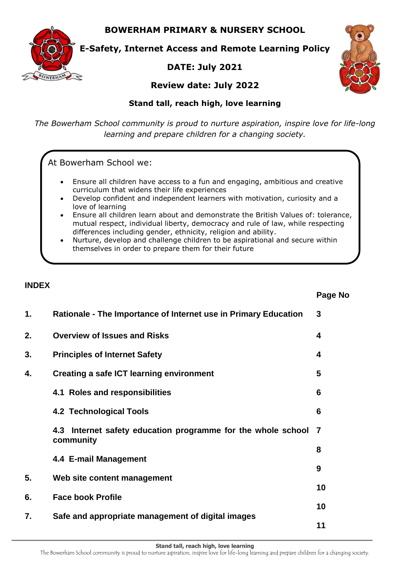**BOWERHAM PRIMARY & NURSERY SCHOOL**



**E-Safety, Internet Access and Remote Learning Policy**

# **DATE: July 2021**



## **Review date: July 2022**

## **Stand tall, reach high, love learning**

*The Bowerham School community is proud to nurture aspiration, inspire love for life-long learning and prepare children for a changing society.*

At Bowerham School we:

- Ensure all children have access to a fun and engaging, ambitious and creative curriculum that widens their life experiences
- Develop confident and independent learners with motivation, curiosity and a love of learning
- Ensure all children learn about and demonstrate the British Values of: tolerance, mutual respect, individual liberty, democracy and rule of law, while respecting differences including gender, ethnicity, religion and ability.
- Nurture, develop and challenge children to be aspirational and secure within themselves in order to prepare them for their future

### **INDEX**

#### **Page No**

| 1. | Rationale - The Importance of Internet use in Primary Education           | 3  |
|----|---------------------------------------------------------------------------|----|
| 2. | <b>Overview of Issues and Risks</b>                                       | 4  |
| 3. | <b>Principles of Internet Safety</b>                                      | 4  |
| 4. | Creating a safe ICT learning environment                                  | 5  |
|    | 4.1 Roles and responsibilities                                            | 6  |
|    | 4.2 Technological Tools                                                   | 6  |
|    | 4.3 Internet safety education programme for the whole school<br>community | -7 |
|    | 4.4 E-mail Management                                                     | 8  |
| 5. | Web site content management                                               | 9  |
| 6. | <b>Face book Profile</b>                                                  | 10 |
| 7. | Safe and appropriate management of digital images                         | 10 |
|    |                                                                           | 11 |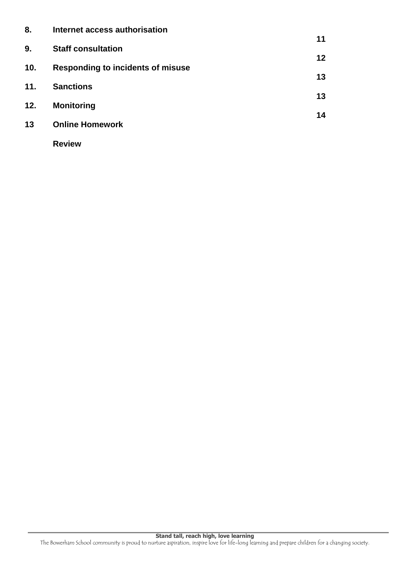| 8.  | Internet access authorisation            |                 |
|-----|------------------------------------------|-----------------|
| 9.  | <b>Staff consultation</b>                | 11              |
| 10. | <b>Responding to incidents of misuse</b> | 12 <sup>°</sup> |
| 11. | <b>Sanctions</b>                         | 13              |
| 12. | <b>Monitoring</b>                        | 13<br>14        |
| 13  | <b>Online Homework</b>                   |                 |
|     | <b>Review</b>                            |                 |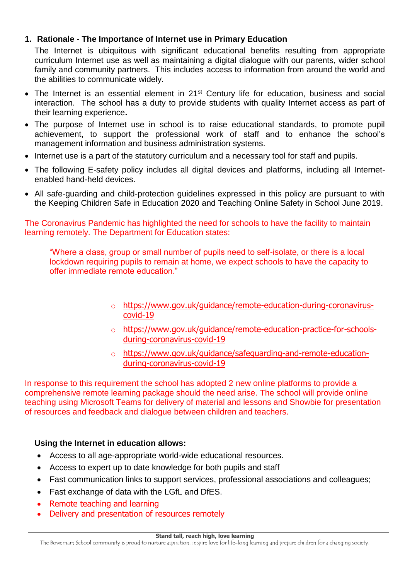## **1. Rationale - The Importance of Internet use in Primary Education**

The Internet is ubiquitous with significant educational benefits resulting from appropriate curriculum Internet use as well as maintaining a digital dialogue with our parents, wider school family and community partners. This includes access to information from around the world and the abilities to communicate widely.

- The Internet is an essential element in 21<sup>st</sup> Century life for education, business and social interaction. The school has a duty to provide students with quality Internet access as part of their learning experience**.**
- The purpose of Internet use in school is to raise educational standards, to promote pupil achievement, to support the professional work of staff and to enhance the school's management information and business administration systems.
- Internet use is a part of the statutory curriculum and a necessary tool for staff and pupils.
- The following E-safety policy includes all digital devices and platforms, including all Internetenabled hand-held devices.
- All safe-guarding and child-protection guidelines expressed in this policy are pursuant to with the Keeping Children Safe in Education 2020 and Teaching Online Safety in School June 2019.

The Coronavirus Pandemic has highlighted the need for schools to have the facility to maintain learning remotely. The Department for Education states:

"Where a class, group or small number of pupils need to self-isolate, or there is a local lockdown requiring pupils to remain at home, we expect schools to have the capacity to offer immediate remote education."

- o [https://www.gov.uk/guidance/remote-education-during-coronavirus](https://www.gov.uk/guidance/remote-education-during-coronavirus-covid-19)[covid-19](https://www.gov.uk/guidance/remote-education-during-coronavirus-covid-19)
- o [https://www.gov.uk/guidance/remote-education-practice-for-schools](https://www.gov.uk/guidance/remote-education-practice-for-schools-during-coronavirus-covid-19)[during-coronavirus-covid-19](https://www.gov.uk/guidance/remote-education-practice-for-schools-during-coronavirus-covid-19)
- o [https://www.gov.uk/guidance/safeguarding-and-remote-education](https://www.gov.uk/guidance/safeguarding-and-remote-education-during-coronavirus-covid-19)[during-coronavirus-covid-19](https://www.gov.uk/guidance/safeguarding-and-remote-education-during-coronavirus-covid-19)

In response to this requirement the school has adopted 2 new online platforms to provide a comprehensive remote learning package should the need arise. The school will provide online teaching using Microsoft Teams for delivery of material and lessons and Showbie for presentation of resources and feedback and dialogue between children and teachers.

# **Using the Internet in education allows:**

- Access to all age-appropriate world-wide educational resources.
- Access to expert up to date knowledge for both pupils and staff
- Fast communication links to support services, professional associations and colleagues;
- Fast exchange of data with the LGfL and DfES.
- Remote teaching and learning
- Delivery and presentation of resources remotely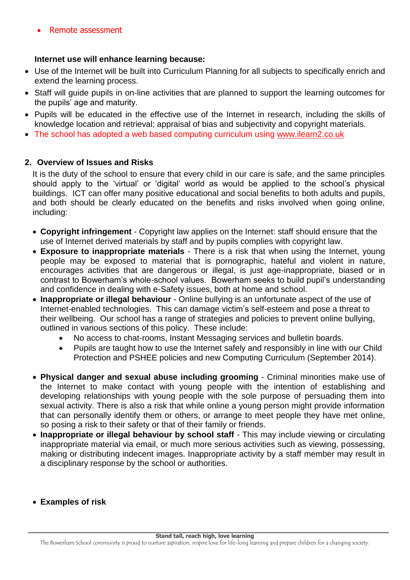#### **Internet use will enhance learning because:**

- Use of the Internet will be built into Curriculum Planning for all subjects to specifically enrich and extend the learning process.
- Staff will guide pupils in on-line activities that are planned to support the learning outcomes for the pupils' age and maturity.
- Pupils will be educated in the effective use of the Internet in research, including the skills of knowledge location and retrieval; appraisal of bias and subjectivity and copyright materials.
- The school has adopted a web based computing curriculum using [www.ilearn2.co.uk](http://www.ilearn2.co.uk/)

### **2. Overview of Issues and Risks**

It is the duty of the school to ensure that every child in our care is safe, and the same principles should apply to the 'virtual' or 'digital' world as would be applied to the school's physical buildings. ICT can offer many positive educational and social benefits to both adults and pupils, and both should be clearly educated on the benefits and risks involved when going online, including:

- **Copyright infringement** Copyright law applies on the Internet: staff should ensure that the use of Internet derived materials by staff and by pupils complies with copyright law.
- **Exposure to inappropriate materials** There is a risk that when using the Internet, young people may be exposed to material that is pornographic, hateful and violent in nature, encourages activities that are dangerous or illegal, is just age-inappropriate, biased or in contrast to Bowerham's whole-school values. Bowerham seeks to build pupil's understanding and confidence in dealing with e-Safety issues, both at home and school.
- **Inappropriate or illegal behaviour** Online bullying is an unfortunate aspect of the use of Internet-enabled technologies. This can damage victim's self-esteem and pose a threat to their wellbeing. Our school has a range of strategies and policies to prevent online bullying, outlined in various sections of this policy. These include:
	- No access to chat-rooms, Instant Messaging services and bulletin boards.
	- Pupils are taught how to use the Internet safely and responsibly in line with our Child Protection and PSHEE policies and new Computing Curriculum (September 2014).
- **Physical danger and sexual abuse including grooming** Criminal minorities make use of the Internet to make contact with young people with the intention of establishing and developing relationships with young people with the sole purpose of persuading them into sexual activity. There is also a risk that while online a young person might provide information that can personally identify them or others, or arrange to meet people they have met online, so posing a risk to their safety or that of their family or friends.
- **Inappropriate or illegal behaviour by school staff** This may include viewing or circulating inappropriate material via email, or much more serious activities such as viewing, possessing, making or distributing indecent images. Inappropriate activity by a staff member may result in a disciplinary response by the school or authorities.
- **Examples of risk**

The Bowerham School community is proud to nurture aspiration, inspire love for life-long learning and prepare children for a changing society.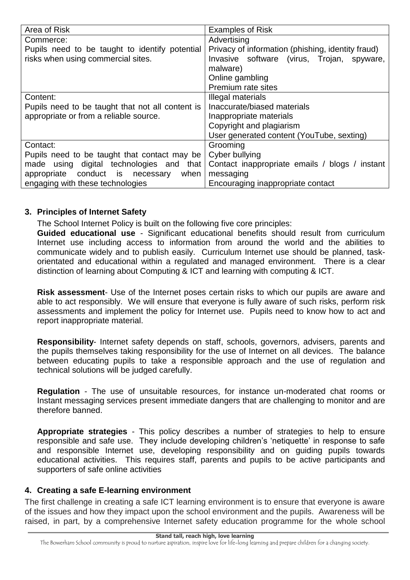| Area of Risk                                     | <b>Examples of Risk</b>                           |  |
|--------------------------------------------------|---------------------------------------------------|--|
| Commerce:                                        | Advertising                                       |  |
| Pupils need to be taught to identify potential   | Privacy of information (phishing, identity fraud) |  |
| risks when using commercial sites.               | Invasive software (virus, Trojan, spyware,        |  |
|                                                  | malware)                                          |  |
|                                                  | Online gambling                                   |  |
|                                                  | Premium rate sites                                |  |
| Content:                                         | Illegal materials                                 |  |
| Pupils need to be taught that not all content is | Inaccurate/biased materials                       |  |
| appropriate or from a reliable source.           | Inappropriate materials                           |  |
|                                                  | Copyright and plagiarism                          |  |
|                                                  | User generated content (YouTube, sexting)         |  |
| Contact:                                         | Grooming                                          |  |
| Pupils need to be taught that contact may be     | Cyber bullying                                    |  |
| made using digital technologies and that         | Contact inappropriate emails / blogs / instant    |  |
| appropriate conduct is necessary<br>when         | messaging                                         |  |
| engaging with these technologies                 | Encouraging inappropriate contact                 |  |

### **3. Principles of Internet Safety**

The School Internet Policy is built on the following five core principles:

**Guided educational use** - Significant educational benefits should result from curriculum Internet use including access to information from around the world and the abilities to communicate widely and to publish easily. Curriculum Internet use should be planned, taskorientated and educational within a regulated and managed environment. There is a clear distinction of learning about Computing & ICT and learning with computing & ICT.

**Risk assessment**- Use of the Internet poses certain risks to which our pupils are aware and able to act responsibly. We will ensure that everyone is fully aware of such risks, perform risk assessments and implement the policy for Internet use. Pupils need to know how to act and report inappropriate material.

**Responsibility**- Internet safety depends on staff, schools, governors, advisers, parents and the pupils themselves taking responsibility for the use of Internet on all devices. The balance between educating pupils to take a responsible approach and the use of regulation and technical solutions will be judged carefully.

**Regulation** - The use of unsuitable resources, for instance un-moderated chat rooms or Instant messaging services present immediate dangers that are challenging to monitor and are therefore banned.

**Appropriate strategies** - This policy describes a number of strategies to help to ensure responsible and safe use. They include developing children's 'netiquette' in response to safe and responsible Internet use, developing responsibility and on guiding pupils towards educational activities. This requires staff, parents and pupils to be active participants and supporters of safe online activities

### **4. Creating a safe E-learning environment**

The first challenge in creating a safe ICT learning environment is to ensure that everyone is aware of the issues and how they impact upon the school environment and the pupils. Awareness will be raised, in part, by a comprehensive Internet safety education programme for the whole school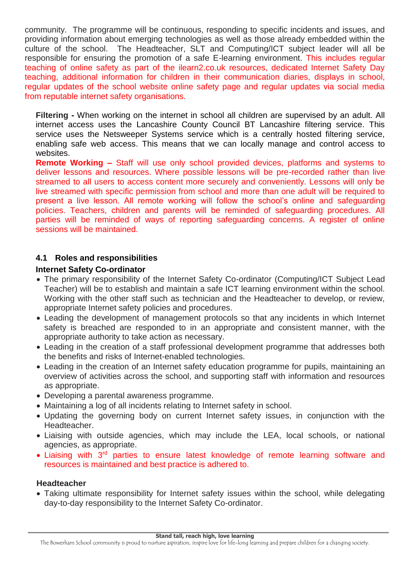community. The programme will be continuous, responding to specific incidents and issues, and providing information about emerging technologies as well as those already embedded within the culture of the school. The Headteacher, SLT and Computing/ICT subject leader will all be responsible for ensuring the promotion of a safe E-learning environment. This includes regular teaching of online safety as part of the ilearn2.co.uk resources, dedicated Internet Safety Day teaching, additional information for children in their communication diaries, displays in school, regular updates of the school website online safety page and regular updates via social media from reputable internet safety organisations.

**Filtering -** When working on the internet in school all children are supervised by an adult. All internet access uses the Lancashire County Council BT Lancashire filtering service. This service uses the Netsweeper Systems service which is a centrally hosted filtering service, enabling safe web access. This means that we can locally manage and control access to websites.

**Remote Working –** Staff will use only school provided devices, platforms and systems to deliver lessons and resources. Where possible lessons will be pre-recorded rather than live streamed to all users to access content more securely and conveniently. Lessons will only be live streamed with specific permission from school and more than one adult will be required to present a live lesson. All remote working will follow the school's online and safeguarding policies. Teachers, children and parents will be reminded of safeguarding procedures. All parties will be reminded of ways of reporting safeguarding concerns. A register of online sessions will be maintained.

### **4.1 Roles and responsibilities**

#### **Internet Safety Co-ordinator**

- The primary responsibility of the Internet Safety Co-ordinator (Computing/ICT Subject Lead Teacher) will be to establish and maintain a safe ICT learning environment within the school. Working with the other staff such as technician and the Headteacher to develop, or review, appropriate Internet safety policies and procedures.
- Leading the development of management protocols so that any incidents in which Internet safety is breached are responded to in an appropriate and consistent manner, with the appropriate authority to take action as necessary.
- Leading in the creation of a staff professional development programme that addresses both the benefits and risks of Internet-enabled technologies.
- Leading in the creation of an Internet safety education programme for pupils, maintaining an overview of activities across the school, and supporting staff with information and resources as appropriate.
- Developing a parental awareness programme.
- Maintaining a log of all incidents relating to Internet safety in school.
- Updating the governing body on current Internet safety issues, in conjunction with the Headteacher.
- Liaising with outside agencies, which may include the LEA, local schools, or national agencies, as appropriate.
- Liaising with 3<sup>rd</sup> parties to ensure latest knowledge of remote learning software and resources is maintained and best practice is adhered to.

#### **Headteacher**

 Taking ultimate responsibility for Internet safety issues within the school, while delegating day-to-day responsibility to the Internet Safety Co-ordinator.

The Bowerham School community is proud to nurture aspiration, inspire love for life-long learning and prepare children for a changing society.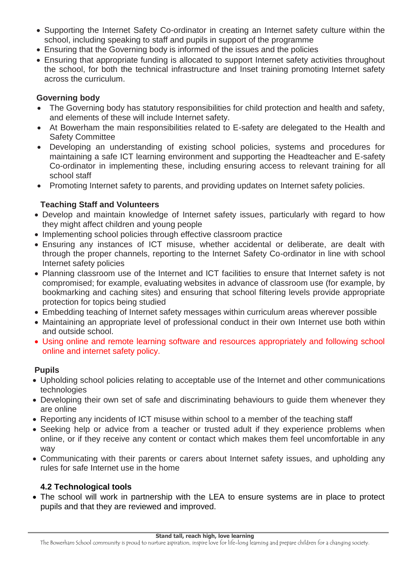- Supporting the Internet Safety Co-ordinator in creating an Internet safety culture within the school, including speaking to staff and pupils in support of the programme
- Ensuring that the Governing body is informed of the issues and the policies
- Ensuring that appropriate funding is allocated to support Internet safety activities throughout the school, for both the technical infrastructure and Inset training promoting Internet safety across the curriculum.

## **Governing body**

- The Governing body has statutory responsibilities for child protection and health and safety, and elements of these will include Internet safety.
- At Bowerham the main responsibilities related to E-safety are delegated to the Health and Safety Committee
- Developing an understanding of existing school policies, systems and procedures for maintaining a safe ICT learning environment and supporting the Headteacher and E-safety Co-ordinator in implementing these, including ensuring access to relevant training for all school staff
- Promoting Internet safety to parents, and providing updates on Internet safety policies.

# **Teaching Staff and Volunteers**

- Develop and maintain knowledge of Internet safety issues, particularly with regard to how they might affect children and young people
- Implementing school policies through effective classroom practice
- Ensuring any instances of ICT misuse, whether accidental or deliberate, are dealt with through the proper channels, reporting to the Internet Safety Co-ordinator in line with school Internet safety policies
- Planning classroom use of the Internet and ICT facilities to ensure that Internet safety is not compromised; for example, evaluating websites in advance of classroom use (for example, by bookmarking and caching sites) and ensuring that school filtering levels provide appropriate protection for topics being studied
- Embedding teaching of Internet safety messages within curriculum areas wherever possible
- Maintaining an appropriate level of professional conduct in their own Internet use both within and outside school.
- Using online and remote learning software and resources appropriately and following school online and internet safety policy.

# **Pupils**

- Upholding school policies relating to acceptable use of the Internet and other communications technologies
- Developing their own set of safe and discriminating behaviours to guide them whenever they are online
- Reporting any incidents of ICT misuse within school to a member of the teaching staff
- Seeking help or advice from a teacher or trusted adult if they experience problems when online, or if they receive any content or contact which makes them feel uncomfortable in any way
- Communicating with their parents or carers about Internet safety issues, and upholding any rules for safe Internet use in the home

# **4.2 Technological tools**

 The school will work in partnership with the LEA to ensure systems are in place to protect pupils and that they are reviewed and improved.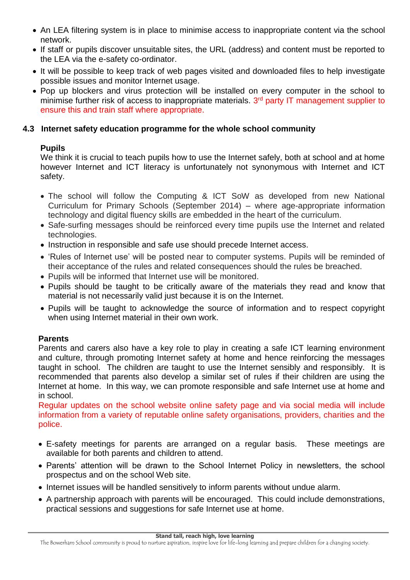- An LEA filtering system is in place to minimise access to inappropriate content via the school network.
- If staff or pupils discover unsuitable sites, the URL (address) and content must be reported to the LEA via the e-safety co-ordinator.
- It will be possible to keep track of web pages visited and downloaded files to help investigate possible issues and monitor Internet usage.
- Pop up blockers and virus protection will be installed on every computer in the school to minimise further risk of access to inappropriate materials. 3<sup>rd</sup> party IT management supplier to ensure this and train staff where appropriate.

### **4.3 Internet safety education programme for the whole school community**

### **Pupils**

We think it is crucial to teach pupils how to use the Internet safely, both at school and at home however Internet and ICT literacy is unfortunately not synonymous with Internet and ICT safety.

- The school will follow the Computing & ICT SoW as developed from new National Curriculum for Primary Schools (September 2014) – where age-appropriate information technology and digital fluency skills are embedded in the heart of the curriculum.
- Safe-surfing messages should be reinforced every time pupils use the Internet and related technologies.
- Instruction in responsible and safe use should precede Internet access.
- 'Rules of Internet use' will be posted near to computer systems. Pupils will be reminded of their acceptance of the rules and related consequences should the rules be breached.
- Pupils will be informed that Internet use will be monitored.
- Pupils should be taught to be critically aware of the materials they read and know that material is not necessarily valid just because it is on the Internet.
- Pupils will be taught to acknowledge the source of information and to respect copyright when using Internet material in their own work.

### **Parents**

Parents and carers also have a key role to play in creating a safe ICT learning environment and culture, through promoting Internet safety at home and hence reinforcing the messages taught in school. The children are taught to use the Internet sensibly and responsibly. It is recommended that parents also develop a similar set of rules if their children are using the Internet at home. In this way, we can promote responsible and safe Internet use at home and in school.

Regular updates on the school website online safety page and via social media will include information from a variety of reputable online safety organisations, providers, charities and the police.

- E-safety meetings for parents are arranged on a regular basis. These meetings are available for both parents and children to attend.
- Parents' attention will be drawn to the School Internet Policy in newsletters, the school prospectus and on the school Web site.
- Internet issues will be handled sensitively to inform parents without undue alarm.
- A partnership approach with parents will be encouraged. This could include demonstrations, practical sessions and suggestions for safe Internet use at home.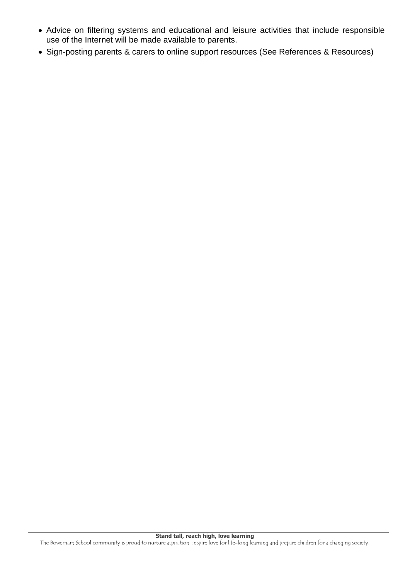- Advice on filtering systems and educational and leisure activities that include responsible use of the Internet will be made available to parents.
- Sign-posting parents & carers to online support resources (See References & Resources)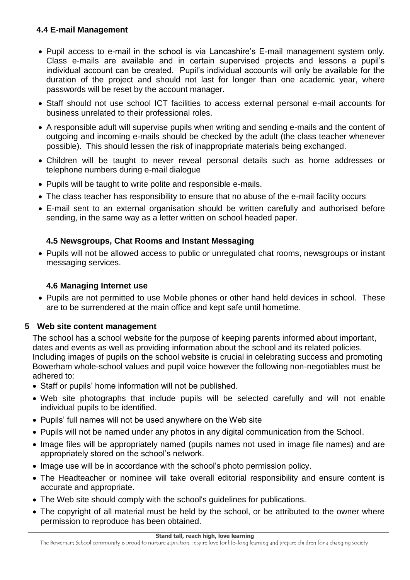## **4.4 E-mail Management**

- Pupil access to e-mail in the school is via Lancashire's E-mail management system only. Class e-mails are available and in certain supervised projects and lessons a pupil's individual account can be created. Pupil's individual accounts will only be available for the duration of the project and should not last for longer than one academic year, where passwords will be reset by the account manager.
- Staff should not use school ICT facilities to access external personal e-mail accounts for business unrelated to their professional roles.
- A responsible adult will supervise pupils when writing and sending e-mails and the content of outgoing and incoming e-mails should be checked by the adult (the class teacher whenever possible). This should lessen the risk of inappropriate materials being exchanged.
- Children will be taught to never reveal personal details such as home addresses or telephone numbers during e-mail dialogue
- Pupils will be taught to write polite and responsible e-mails.
- The class teacher has responsibility to ensure that no abuse of the e-mail facility occurs
- E-mail sent to an external organisation should be written carefully and authorised before sending, in the same way as a letter written on school headed paper.

# **4.5 Newsgroups, Chat Rooms and Instant Messaging**

 Pupils will not be allowed access to public or unregulated chat rooms, newsgroups or instant messaging services.

# **4.6 Managing Internet use**

 Pupils are not permitted to use Mobile phones or other hand held devices in school. These are to be surrendered at the main office and kept safe until hometime.

# **5 Web site content management**

The school has a school website for the purpose of keeping parents informed about important, dates and events as well as providing information about the school and its related policies. Including images of pupils on the school website is crucial in celebrating success and promoting Bowerham whole-school values and pupil voice however the following non-negotiables must be adhered to:

- Staff or pupils' home information will not be published.
- Web site photographs that include pupils will be selected carefully and will not enable individual pupils to be identified.
- Pupils' full names will not be used anywhere on the Web site
- Pupils will not be named under any photos in any digital communication from the School.
- Image files will be appropriately named (pupils names not used in image file names) and are appropriately stored on the school's network.
- Image use will be in accordance with the school's photo permission policy.
- The Headteacher or nominee will take overall editorial responsibility and ensure content is accurate and appropriate.
- The Web site should comply with the school's guidelines for publications.
- The copyright of all material must be held by the school, or be attributed to the owner where permission to reproduce has been obtained.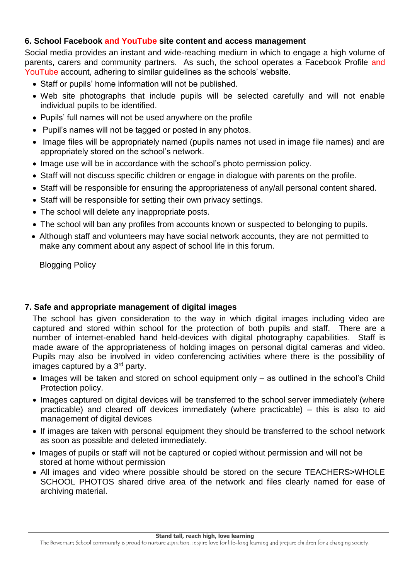### **6. School Facebook and YouTube site content and access management**

Social media provides an instant and wide-reaching medium in which to engage a high volume of parents, carers and community partners. As such, the school operates a Facebook Profile and YouTube account, adhering to similar guidelines as the schools' website.

- Staff or pupils' home information will not be published.
- Web site photographs that include pupils will be selected carefully and will not enable individual pupils to be identified.
- Pupils' full names will not be used anywhere on the profile
- Pupil's names will not be tagged or posted in any photos.
- Image files will be appropriately named (pupils names not used in image file names) and are appropriately stored on the school's network.
- Image use will be in accordance with the school's photo permission policy.
- Staff will not discuss specific children or engage in dialogue with parents on the profile.
- Staff will be responsible for ensuring the appropriateness of any/all personal content shared.
- Staff will be responsible for setting their own privacy settings.
- The school will delete any inappropriate posts.
- The school will ban any profiles from accounts known or suspected to belonging to pupils.
- Although staff and volunteers may have social network accounts, they are not permitted to make any comment about any aspect of school life in this forum.

Blogging Policy

# **7. Safe and appropriate management of digital images**

The school has given consideration to the way in which digital images including video are captured and stored within school for the protection of both pupils and staff. There are a number of internet-enabled hand held-devices with digital photography capabilities. Staff is made aware of the appropriateness of holding images on personal digital cameras and video. Pupils may also be involved in video conferencing activities where there is the possibility of images captured by a 3<sup>rd</sup> party.

- Images will be taken and stored on school equipment only as outlined in the school's Child Protection policy.
- Images captured on digital devices will be transferred to the school server immediately (where practicable) and cleared off devices immediately (where practicable) – this is also to aid management of digital devices
- If images are taken with personal equipment they should be transferred to the school network as soon as possible and deleted immediately.
- Images of pupils or staff will not be captured or copied without permission and will not be stored at home without permission
- All images and video where possible should be stored on the secure TEACHERS>WHOLE SCHOOL PHOTOS shared drive area of the network and files clearly named for ease of archiving material.

The Bowerham School community is proud to nurture aspiration, inspire love for life-long learning and prepare children for a changing society.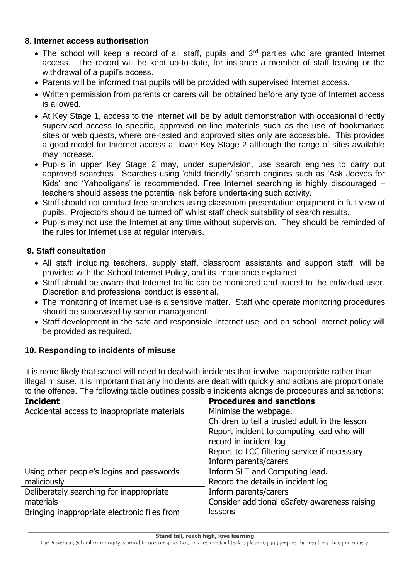#### **8. Internet access authorisation**

- The school will keep a record of all staff, pupils and  $3<sup>rd</sup>$  parties who are granted Internet access. The record will be kept up-to-date, for instance a member of staff leaving or the withdrawal of a pupil's access.
- Parents will be informed that pupils will be provided with supervised Internet access.
- Written permission from parents or carers will be obtained before any type of Internet access is allowed.
- At Key Stage 1, access to the Internet will be by adult demonstration with occasional directly supervised access to specific, approved on-line materials such as the use of bookmarked sites or web quests, where pre-tested and approved sites only are accessible. This provides a good model for Internet access at lower Key Stage 2 although the range of sites available may increase.
- Pupils in upper Key Stage 2 may, under supervision, use search engines to carry out approved searches. Searches using 'child friendly' search engines such as 'Ask Jeeves for Kids' and 'Yahooligans' is recommended. Free Internet searching is highly discouraged – teachers should assess the potential risk before undertaking such activity.
- Staff should not conduct free searches using classroom presentation equipment in full view of pupils. Projectors should be turned off whilst staff check suitability of search results.
- Pupils may not use the Internet at any time without supervision. They should be reminded of the rules for Internet use at regular intervals.

## **9. Staff consultation**

- All staff including teachers, supply staff, classroom assistants and support staff, will be provided with the School Internet Policy, and its importance explained.
- Staff should be aware that Internet traffic can be monitored and traced to the individual user. Discretion and professional conduct is essential.
- The monitoring of Internet use is a sensitive matter. Staff who operate monitoring procedures should be supervised by senior management.
- Staff development in the safe and responsible Internet use, and on school Internet policy will be provided as required.

### **10. Responding to incidents of misuse**

It is more likely that school will need to deal with incidents that involve inappropriate rather than illegal misuse. It is important that any incidents are dealt with quickly and actions are proportionate to the offence. The following table outlines possible incidents alongside procedures and sanctions:

| <b>Incident</b>                              | <b>Procedures and sanctions</b>                |
|----------------------------------------------|------------------------------------------------|
| Accidental access to inappropriate materials | Minimise the webpage.                          |
|                                              | Children to tell a trusted adult in the lesson |
|                                              | Report incident to computing lead who will     |
|                                              | record in incident log                         |
|                                              | Report to LCC filtering service if necessary   |
|                                              | Inform parents/carers                          |
| Using other people's logins and passwords    | Inform SLT and Computing lead.                 |
| maliciously                                  | Record the details in incident log             |
| Deliberately searching for inappropriate     | Inform parents/carers                          |
| materials                                    | Consider additional eSafety awareness raising  |
| Bringing inappropriate electronic files from | lessons                                        |

**Stand tall, reach high, love learning**

The Bowerham School community is proud to nurture aspiration, inspire love for life-long learning and prepare children for a changing society.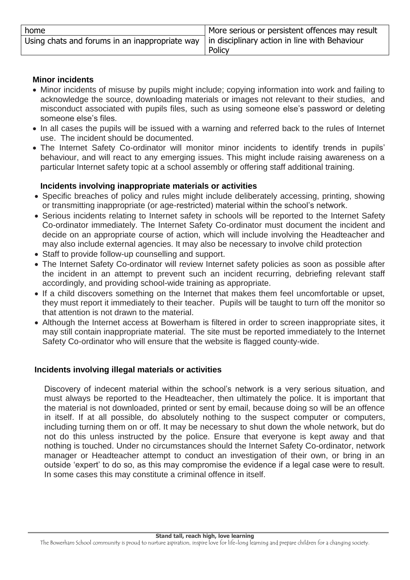| home                                                                                                 | More serious or persistent offences may result |
|------------------------------------------------------------------------------------------------------|------------------------------------------------|
| Using chats and forums in an inappropriate way $\vert$ in disciplinary action in line with Behaviour |                                                |
|                                                                                                      | Policy                                         |

#### **Minor incidents**

- Minor incidents of misuse by pupils might include; copying information into work and failing to acknowledge the source, downloading materials or images not relevant to their studies, and misconduct associated with pupils files, such as using someone else's password or deleting someone else's files.
- In all cases the pupils will be issued with a warning and referred back to the rules of Internet use. The incident should be documented.
- The Internet Safety Co-ordinator will monitor minor incidents to identify trends in pupils' behaviour, and will react to any emerging issues. This might include raising awareness on a particular Internet safety topic at a school assembly or offering staff additional training.

#### **Incidents involving inappropriate materials or activities**

- Specific breaches of policy and rules might include deliberately accessing, printing, showing or transmitting inappropriate (or age-restricted) material within the school's network.
- Serious incidents relating to Internet safety in schools will be reported to the Internet Safety Co-ordinator immediately. The Internet Safety Co-ordinator must document the incident and decide on an appropriate course of action, which will include involving the Headteacher and may also include external agencies. It may also be necessary to involve child protection
- Staff to provide follow-up counselling and support.
- The Internet Safety Co-ordinator will review Internet safety policies as soon as possible after the incident in an attempt to prevent such an incident recurring, debriefing relevant staff accordingly, and providing school-wide training as appropriate.
- If a child discovers something on the Internet that makes them feel uncomfortable or upset, they must report it immediately to their teacher. Pupils will be taught to turn off the monitor so that attention is not drawn to the material.
- Although the Internet access at Bowerham is filtered in order to screen inappropriate sites, it may still contain inappropriate material. The site must be reported immediately to the Internet Safety Co-ordinator who will ensure that the website is flagged county-wide.

### **Incidents involving illegal materials or activities**

Discovery of indecent material within the school's network is a very serious situation, and must always be reported to the Headteacher, then ultimately the police. It is important that the material is not downloaded, printed or sent by email, because doing so will be an offence in itself. If at all possible, do absolutely nothing to the suspect computer or computers, including turning them on or off. It may be necessary to shut down the whole network, but do not do this unless instructed by the police. Ensure that everyone is kept away and that nothing is touched. Under no circumstances should the Internet Safety Co-ordinator, network manager or Headteacher attempt to conduct an investigation of their own, or bring in an outside 'expert' to do so, as this may compromise the evidence if a legal case were to result. In some cases this may constitute a criminal offence in itself.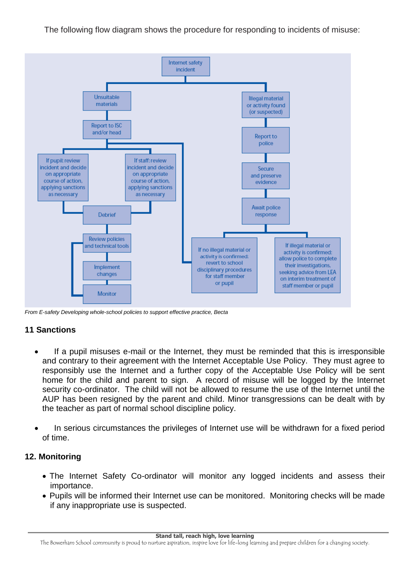The following flow diagram shows the procedure for responding to incidents of misuse:



*From E-safety Developing whole-school policies to support effective practice, Becta*

### **11 Sanctions**

- If a pupil misuses e-mail or the Internet, they must be reminded that this is irresponsible and contrary to their agreement with the Internet Acceptable Use Policy. They must agree to responsibly use the Internet and a further copy of the Acceptable Use Policy will be sent home for the child and parent to sign. A record of misuse will be logged by the Internet security co-ordinator. The child will not be allowed to resume the use of the Internet until the AUP has been resigned by the parent and child. Minor transgressions can be dealt with by the teacher as part of normal school discipline policy.
- In serious circumstances the privileges of Internet use will be withdrawn for a fixed period of time.

#### **12. Monitoring**

- The Internet Safety Co-ordinator will monitor any logged incidents and assess their importance.
- Pupils will be informed their Internet use can be monitored. Monitoring checks will be made if any inappropriate use is suspected.

The Bowerham School community is proud to nurture aspiration, inspire love for life-long learning and prepare children for a changing society.